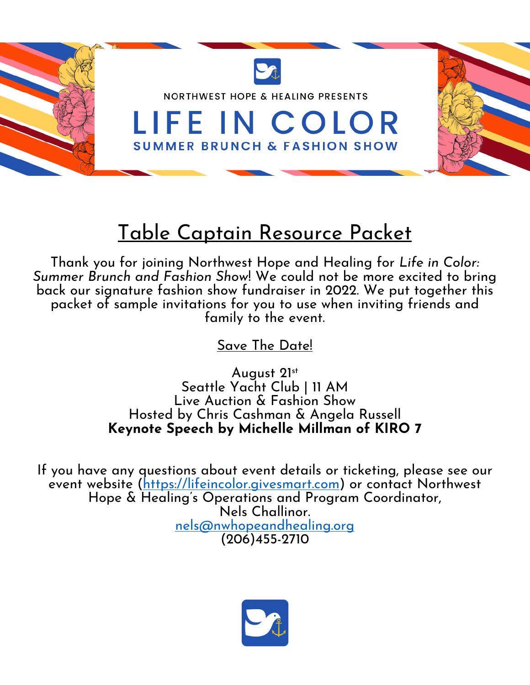

# Table Captain Resource Packet

Thank you for joining Northwest Hope and Healing for *Life in Color: Summer Brunch and Fashion Show*! We could not be more excited to bring back our signature fashion show fundraiser in 2022. We put together this packet of sample invitations for you to use when inviting friends and family to the event.

Save The Date!

August 21st Seattle Yacht Club | 11 AM Live Auction & Fashion Show Hosted by Chris Cashman & Angela Russell **Keynote Speech by Michelle Millman of KIRO 7**

If you have any questions about event details or ticketing, please see our event website (https://lifeincolor.givesmart.com) or contact Northwest Hope & Healing's Operations and Program Coordinator, Nels Challinor. nels@nwhopeandhealing.org (206)455-2710

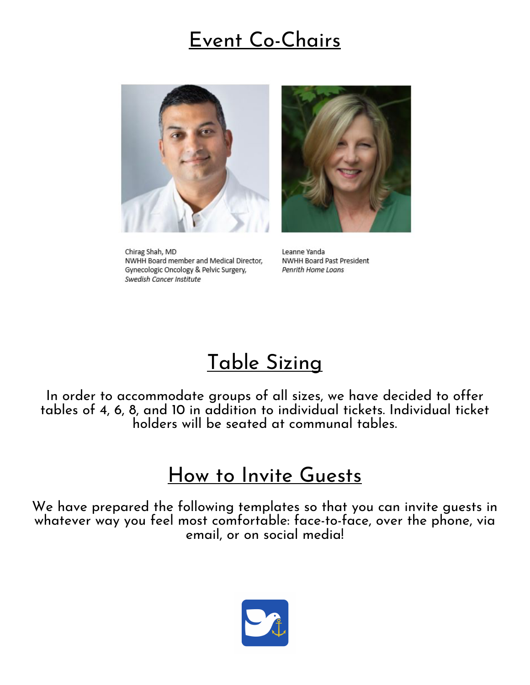## Event Co-Chairs



Chirag Shah, MD NWHH Board member and Medical Director, Gynecologic Oncology & Pelvic Surgery, Swedish Cancer Institute



Leanne Yanda NWHH Board Past President Penrith Home Loans

## Table Sizing

In order to accommodate groups of all sizes, we have decided to offer tables of 4, 6, 8, and 10 in addition to individual tickets. Individual ticket holders will be seated at communal tables.

### How to Invite Guests

We have prepared the following templates so that you can invite guests in whatever way you feel most comfortable: face-to-face, over the phone, via email, or on social media!

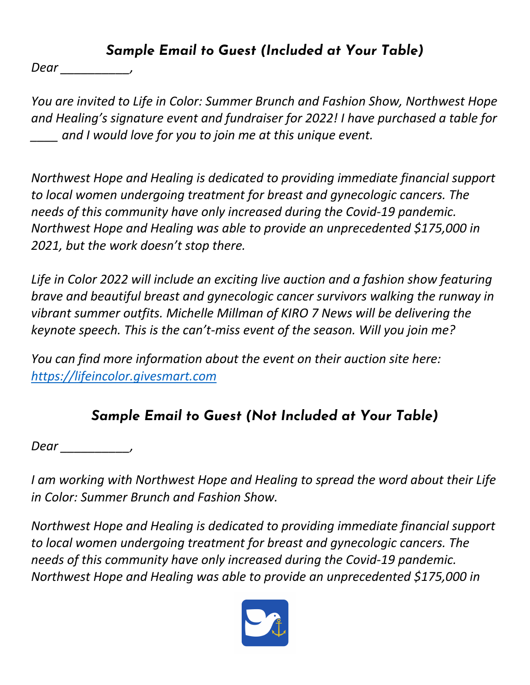#### *Sample Email to Guest (Included at Your Table)*

*Dear \_\_\_\_\_\_\_\_\_\_,*

*You are invited to Life in Color: Summer Brunch and Fashion Show, Northwest Hope and Healing's signature event and fundraiser for 2022! I have purchased a table for \_\_\_\_ and I would love for you to join me at this unique event.*

*Northwest Hope and Healing is dedicated to providing immediate financial support to local women undergoing treatment for breast and gynecologic cancers. The needs of this community have only increased during the Covid-19 pandemic. Northwest Hope and Healing was able to provide an unprecedented \$175,000 in 2021, but the work doesn't stop there.* 

*Life in Color 2022 will include an exciting live auction and a fashion show featuring brave and beautiful breast and gynecologic cancer survivors walking the runway in vibrant summer outfits. Michelle Millman of KIRO 7 News will be delivering the keynote speech. This is the can't-miss event of the season. Will you join me?*

*You can find more information about the event on their auction site here: https://lifeincolor.givesmart.com*

### *Sample Email to Guest (Not Included at Your Table)*

*Dear \_\_\_\_\_\_\_\_\_\_,*

*I am working with Northwest Hope and Healing to spread the word about their Life in Color: Summer Brunch and Fashion Show.* 

*Northwest Hope and Healing is dedicated to providing immediate financial support to local women undergoing treatment for breast and gynecologic cancers. The needs of this community have only increased during the Covid-19 pandemic. Northwest Hope and Healing was able to provide an unprecedented \$175,000 in* 

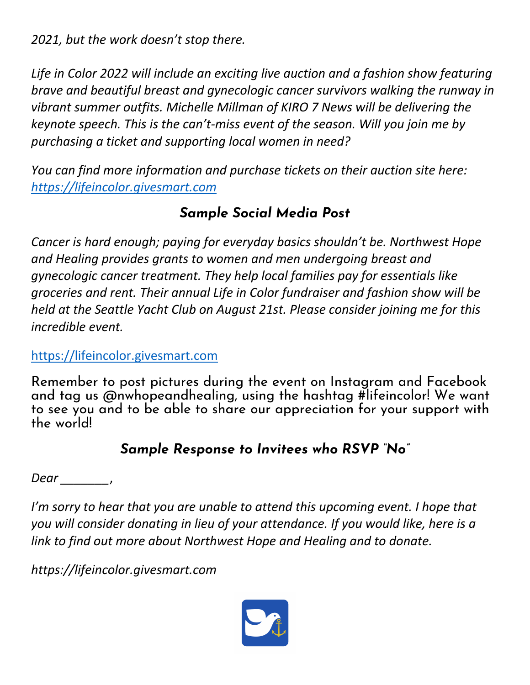*2021, but the work doesn't stop there.* 

*Life in Color 2022 will include an exciting live auction and a fashion show featuring brave and beautiful breast and gynecologic cancer survivors walking the runway in vibrant summer outfits. Michelle Millman of KIRO 7 News will be delivering the keynote speech. This is the can't-miss event of the season. Will you join me by purchasing a ticket and supporting local women in need?*

*You can find more information and purchase tickets on their auction site here: https://lifeincolor.givesmart.com*

#### *Sample Social Media Post*

*Cancer is hard enough; paying for everyday basics shouldn't be. Northwest Hope and Healing provides grants to women and men undergoing breast and gynecologic cancer treatment. They help local families pay for essentials like groceries and rent. Their annual Life in Color fundraiser and fashion show will be held at the Seattle Yacht Club on August 21st. Please consider joining me for this incredible event.* 

https://lifeincolor.givesmart.com

Remember to post pictures during the event on Instagram and Facebook and tag us @nwhopeandhealing, using the hashtag #lifeincolor! We want to see you and to be able to share our appreciation for your support with the world!

#### *Sample Response to Invitees who RSVP "No"*

*Dear \_\_\_\_\_\_\_*,

*I'm sorry to hear that you are unable to attend this upcoming event. I hope that you will consider donating in lieu of your attendance. If you would like, here is a link to find out more about Northwest Hope and Healing and to donate.* 

*https://lifeincolor.givesmart.com*

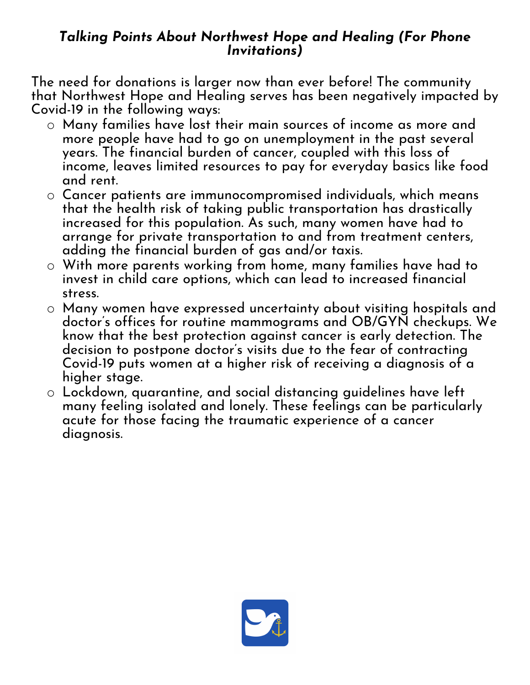#### *Talking Points About Northwest Hope and Healing (For Phone Invitations)*

The need for donations is larger now than ever before! The community that Northwest Hope and Healing serves has been negatively impacted by Covid-19 in the following ways:

- o Many families have lost their main sources of income as more and more people have had to go on unemployment in the past several years. The financial burden of cancer, coupled with this loss of income, leaves limited resources to pay for everyday basics like food and rent.
- o Cancer patients are immunocompromised individuals, which means that the health risk of taking public transportation has drastically increased for this population. As such, many women have had to arrange for private transportation to and from treatment centers, adding the financial burden of gas and/or taxis.
- o With more parents working from home, many families have had to invest in child care options, which can lead to increased financial stress.
- o Many women have expressed uncertainty about visiting hospitals and doctor's offices for routine mammograms and OB/GYN checkups. We know that the best protection against cancer is early detection. The decision to postpone doctor's visits due to the fear of contracting Covid-19 puts women at a higher risk of receiving a diagnosis of a higher stage.
- o Lockdown, quarantine, and social distancing guidelines have left many feeling isolated and lonely. These feelings can be particularly acute for those facing the traumatic experience of a cancer diagnosis.